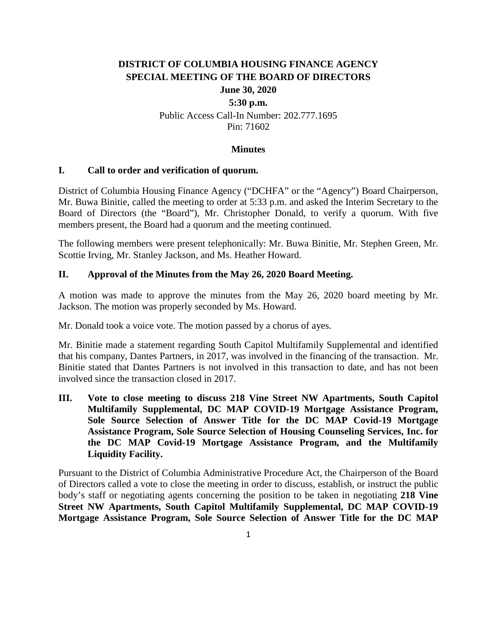# **DISTRICT OF COLUMBIA HOUSING FINANCE AGENCY SPECIAL MEETING OF THE BOARD OF DIRECTORS**

## **June 30, 2020**

## **5:30 p.m.** Public Access Call-In Number: 202.777.1695 Pin: 71602

#### **Minutes**

#### **I. Call to order and verification of quorum.**

District of Columbia Housing Finance Agency ("DCHFA" or the "Agency") Board Chairperson, Mr. Buwa Binitie, called the meeting to order at 5:33 p.m. and asked the Interim Secretary to the Board of Directors (the "Board"), Mr. Christopher Donald, to verify a quorum. With five members present, the Board had a quorum and the meeting continued.

The following members were present telephonically: Mr. Buwa Binitie, Mr. Stephen Green, Mr. Scottie Irving, Mr. Stanley Jackson, and Ms. Heather Howard.

#### **II. Approval of the Minutes from the May 26, 2020 Board Meeting.**

A motion was made to approve the minutes from the May 26, 2020 board meeting by Mr. Jackson. The motion was properly seconded by Ms. Howard.

Mr. Donald took a voice vote. The motion passed by a chorus of ayes.

Mr. Binitie made a statement regarding South Capitol Multifamily Supplemental and identified that his company, Dantes Partners, in 2017, was involved in the financing of the transaction. Mr. Binitie stated that Dantes Partners is not involved in this transaction to date, and has not been involved since the transaction closed in 2017.

**III. Vote to close meeting to discuss 218 Vine Street NW Apartments, South Capitol Multifamily Supplemental, DC MAP COVID-19 Mortgage Assistance Program, Sole Source Selection of Answer Title for the DC MAP Covid-19 Mortgage Assistance Program, Sole Source Selection of Housing Counseling Services, Inc. for the DC MAP Covid-19 Mortgage Assistance Program, and the Multifamily Liquidity Facility.**

Pursuant to the District of Columbia Administrative Procedure Act, the Chairperson of the Board of Directors called a vote to close the meeting in order to discuss, establish, or instruct the public body's staff or negotiating agents concerning the position to be taken in negotiating **218 Vine Street NW Apartments, South Capitol Multifamily Supplemental, DC MAP COVID-19 Mortgage Assistance Program, Sole Source Selection of Answer Title for the DC MAP**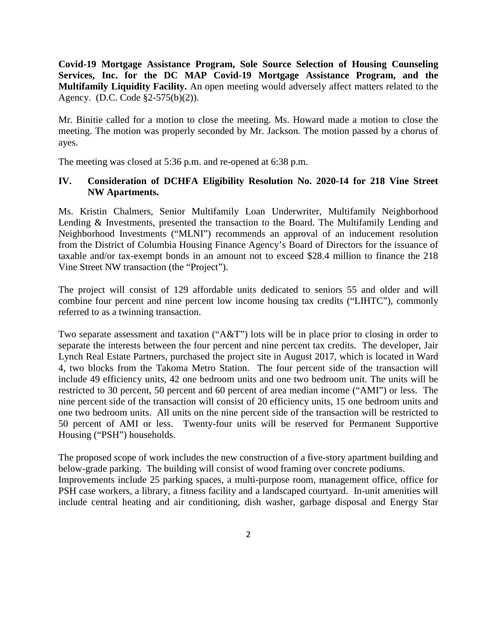**Covid-19 Mortgage Assistance Program, Sole Source Selection of Housing Counseling Services, Inc. for the DC MAP Covid-19 Mortgage Assistance Program, and the Multifamily Liquidity Facility.** An open meeting would adversely affect matters related to the Agency. (D.C. Code §2-575(b)(2)).

Mr. Binitie called for a motion to close the meeting. Ms. Howard made a motion to close the meeting. The motion was properly seconded by Mr. Jackson. The motion passed by a chorus of ayes.

The meeting was closed at 5:36 p.m. and re-opened at 6:38 p.m.

#### **IV. Consideration of DCHFA Eligibility Resolution No. 2020-14 for 218 Vine Street NW Apartments.**

Ms. Kristin Chalmers, Senior Multifamily Loan Underwriter, Multifamily Neighborhood Lending & Investments, presented the transaction to the Board. The Multifamily Lending and Neighborhood Investments ("MLNI") recommends an approval of an inducement resolution from the District of Columbia Housing Finance Agency's Board of Directors for the issuance of taxable and/or tax-exempt bonds in an amount not to exceed \$28.4 million to finance the 218 Vine Street NW transaction (the "Project").

The project will consist of 129 affordable units dedicated to seniors 55 and older and will combine four percent and nine percent low income housing tax credits ("LIHTC"), commonly referred to as a twinning transaction.

Two separate assessment and taxation ("A&T") lots will be in place prior to closing in order to separate the interests between the four percent and nine percent tax credits. The developer, Jair Lynch Real Estate Partners, purchased the project site in August 2017, which is located in Ward 4, two blocks from the Takoma Metro Station. The four percent side of the transaction will include 49 efficiency units, 42 one bedroom units and one two bedroom unit. The units will be restricted to 30 percent, 50 percent and 60 percent of area median income ("AMI") or less. The nine percent side of the transaction will consist of 20 efficiency units, 15 one bedroom units and one two bedroom units. All units on the nine percent side of the transaction will be restricted to 50 percent of AMI or less. Twenty-four units will be reserved for Permanent Supportive Housing ("PSH") households.

The proposed scope of work includes the new construction of a five-story apartment building and below-grade parking. The building will consist of wood framing over concrete podiums. Improvements include 25 parking spaces, a multi-purpose room, management office, office for PSH case workers, a library, a fitness facility and a landscaped courtyard. In-unit amenities will include central heating and air conditioning, dish washer, garbage disposal and Energy Star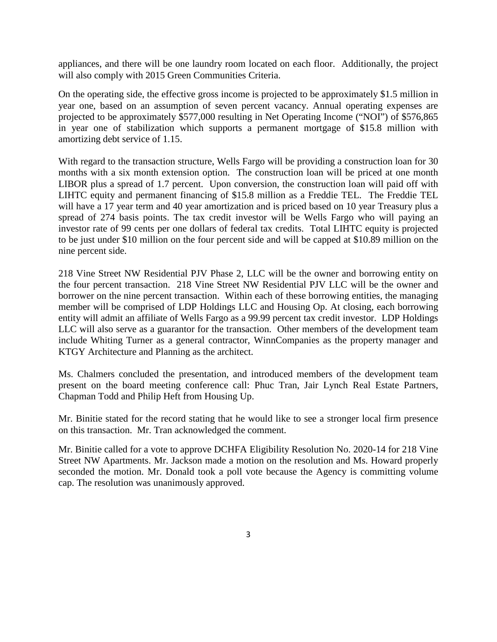appliances, and there will be one laundry room located on each floor. Additionally, the project will also comply with 2015 Green Communities Criteria.

On the operating side, the effective gross income is projected to be approximately \$1.5 million in year one, based on an assumption of seven percent vacancy. Annual operating expenses are projected to be approximately \$577,000 resulting in Net Operating Income ("NOI") of \$576,865 in year one of stabilization which supports a permanent mortgage of \$15.8 million with amortizing debt service of 1.15.

With regard to the transaction structure, Wells Fargo will be providing a construction loan for 30 months with a six month extension option. The construction loan will be priced at one month LIBOR plus a spread of 1.7 percent. Upon conversion, the construction loan will paid off with LIHTC equity and permanent financing of \$15.8 million as a Freddie TEL. The Freddie TEL will have a 17 year term and 40 year amortization and is priced based on 10 year Treasury plus a spread of 274 basis points. The tax credit investor will be Wells Fargo who will paying an investor rate of 99 cents per one dollars of federal tax credits. Total LIHTC equity is projected to be just under \$10 million on the four percent side and will be capped at \$10.89 million on the nine percent side.

218 Vine Street NW Residential PJV Phase 2, LLC will be the owner and borrowing entity on the four percent transaction. 218 Vine Street NW Residential PJV LLC will be the owner and borrower on the nine percent transaction. Within each of these borrowing entities, the managing member will be comprised of LDP Holdings LLC and Housing Op. At closing, each borrowing entity will admit an affiliate of Wells Fargo as a 99.99 percent tax credit investor. LDP Holdings LLC will also serve as a guarantor for the transaction. Other members of the development team include Whiting Turner as a general contractor, WinnCompanies as the property manager and KTGY Architecture and Planning as the architect.

Ms. Chalmers concluded the presentation, and introduced members of the development team present on the board meeting conference call: Phuc Tran, Jair Lynch Real Estate Partners, Chapman Todd and Philip Heft from Housing Up.

Mr. Binitie stated for the record stating that he would like to see a stronger local firm presence on this transaction. Mr. Tran acknowledged the comment.

Mr. Binitie called for a vote to approve DCHFA Eligibility Resolution No. 2020-14 for 218 Vine Street NW Apartments. Mr. Jackson made a motion on the resolution and Ms. Howard properly seconded the motion. Mr. Donald took a poll vote because the Agency is committing volume cap. The resolution was unanimously approved.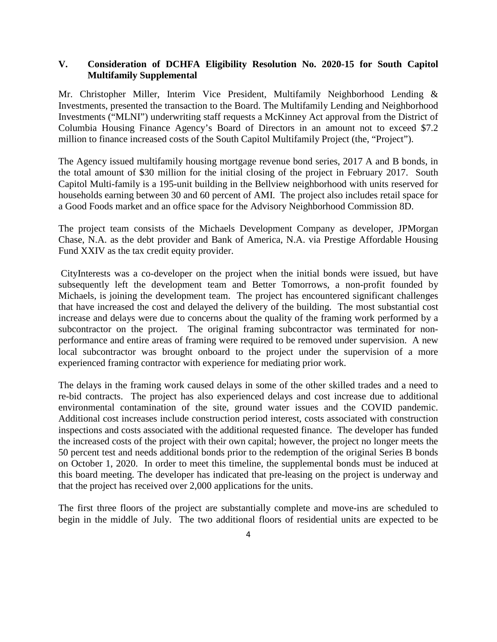#### **V. Consideration of DCHFA Eligibility Resolution No. 2020-15 for South Capitol Multifamily Supplemental**

Mr. Christopher Miller, Interim Vice President, Multifamily Neighborhood Lending & Investments, presented the transaction to the Board. The Multifamily Lending and Neighborhood Investments ("MLNI") underwriting staff requests a McKinney Act approval from the District of Columbia Housing Finance Agency's Board of Directors in an amount not to exceed \$7.2 million to finance increased costs of the South Capitol Multifamily Project (the, "Project").

The Agency issued multifamily housing mortgage revenue bond series, 2017 A and B bonds, in the total amount of \$30 million for the initial closing of the project in February 2017. South Capitol Multi-family is a 195-unit building in the Bellview neighborhood with units reserved for households earning between 30 and 60 percent of AMI. The project also includes retail space for a Good Foods market and an office space for the Advisory Neighborhood Commission 8D.

The project team consists of the Michaels Development Company as developer, JPMorgan Chase, N.A. as the debt provider and Bank of America, N.A. via Prestige Affordable Housing Fund XXIV as the tax credit equity provider.

CityInterests was a co-developer on the project when the initial bonds were issued, but have subsequently left the development team and Better Tomorrows, a non-profit founded by Michaels, is joining the development team. The project has encountered significant challenges that have increased the cost and delayed the delivery of the building. The most substantial cost increase and delays were due to concerns about the quality of the framing work performed by a subcontractor on the project. The original framing subcontractor was terminated for nonperformance and entire areas of framing were required to be removed under supervision. A new local subcontractor was brought onboard to the project under the supervision of a more experienced framing contractor with experience for mediating prior work.

The delays in the framing work caused delays in some of the other skilled trades and a need to re-bid contracts. The project has also experienced delays and cost increase due to additional environmental contamination of the site, ground water issues and the COVID pandemic. Additional cost increases include construction period interest, costs associated with construction inspections and costs associated with the additional requested finance. The developer has funded the increased costs of the project with their own capital; however, the project no longer meets the 50 percent test and needs additional bonds prior to the redemption of the original Series B bonds on October 1, 2020. In order to meet this timeline, the supplemental bonds must be induced at this board meeting. The developer has indicated that pre-leasing on the project is underway and that the project has received over 2,000 applications for the units.

The first three floors of the project are substantially complete and move-ins are scheduled to begin in the middle of July. The two additional floors of residential units are expected to be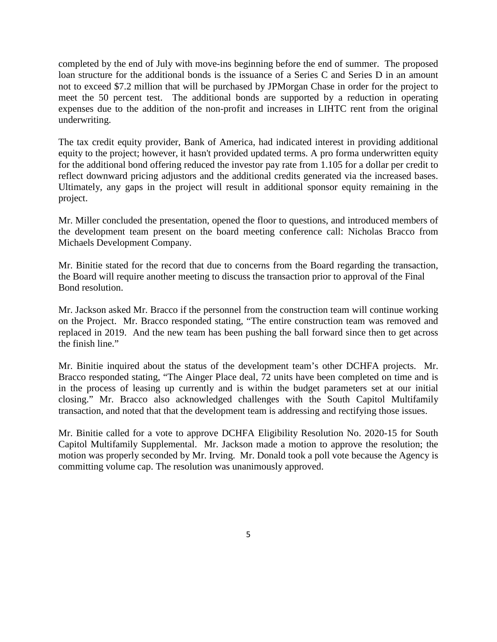completed by the end of July with move-ins beginning before the end of summer. The proposed loan structure for the additional bonds is the issuance of a Series C and Series D in an amount not to exceed \$7.2 million that will be purchased by JPMorgan Chase in order for the project to meet the 50 percent test. The additional bonds are supported by a reduction in operating expenses due to the addition of the non-profit and increases in LIHTC rent from the original underwriting.

The tax credit equity provider, Bank of America, had indicated interest in providing additional equity to the project; however, it hasn't provided updated terms. A pro forma underwritten equity for the additional bond offering reduced the investor pay rate from 1.105 for a dollar per credit to reflect downward pricing adjustors and the additional credits generated via the increased bases. Ultimately, any gaps in the project will result in additional sponsor equity remaining in the project.

Mr. Miller concluded the presentation, opened the floor to questions, and introduced members of the development team present on the board meeting conference call: Nicholas Bracco from Michaels Development Company.

Mr. Binitie stated for the record that due to concerns from the Board regarding the transaction, the Board will require another meeting to discuss the transaction prior to approval of the Final Bond resolution.

Mr. Jackson asked Mr. Bracco if the personnel from the construction team will continue working on the Project. Mr. Bracco responded stating, "The entire construction team was removed and replaced in 2019. And the new team has been pushing the ball forward since then to get across the finish line."

Mr. Binitie inquired about the status of the development team's other DCHFA projects. Mr. Bracco responded stating, "The Ainger Place deal, 72 units have been completed on time and is in the process of leasing up currently and is within the budget parameters set at our initial closing." Mr. Bracco also acknowledged challenges with the South Capitol Multifamily transaction, and noted that that the development team is addressing and rectifying those issues.

Mr. Binitie called for a vote to approve DCHFA Eligibility Resolution No. 2020-15 for South Capitol Multifamily Supplemental. Mr. Jackson made a motion to approve the resolution; the motion was properly seconded by Mr. Irving. Mr. Donald took a poll vote because the Agency is committing volume cap. The resolution was unanimously approved.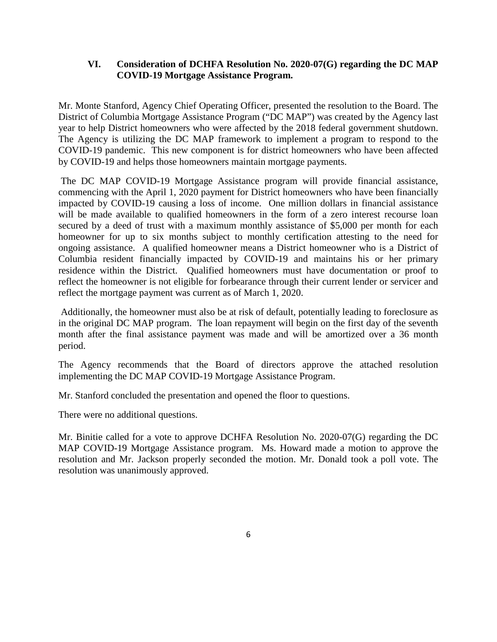#### **VI. Consideration of DCHFA Resolution No. 2020-07(G) regarding the DC MAP COVID-19 Mortgage Assistance Program.**

Mr. Monte Stanford, Agency Chief Operating Officer, presented the resolution to the Board. The District of Columbia Mortgage Assistance Program ("DC MAP") was created by the Agency last year to help District homeowners who were affected by the 2018 federal government shutdown. The Agency is utilizing the DC MAP framework to implement a program to respond to the COVID-19 pandemic. This new component is for district homeowners who have been affected by COVID-19 and helps those homeowners maintain mortgage payments.

The DC MAP COVID-19 Mortgage Assistance program will provide financial assistance, commencing with the April 1, 2020 payment for District homeowners who have been financially impacted by COVID-19 causing a loss of income. One million dollars in financial assistance will be made available to qualified homeowners in the form of a zero interest recourse loan secured by a deed of trust with a maximum monthly assistance of \$5,000 per month for each homeowner for up to six months subject to monthly certification attesting to the need for ongoing assistance. A qualified homeowner means a District homeowner who is a District of Columbia resident financially impacted by COVID-19 and maintains his or her primary residence within the District. Qualified homeowners must have documentation or proof to reflect the homeowner is not eligible for forbearance through their current lender or servicer and reflect the mortgage payment was current as of March 1, 2020.

Additionally, the homeowner must also be at risk of default, potentially leading to foreclosure as in the original DC MAP program. The loan repayment will begin on the first day of the seventh month after the final assistance payment was made and will be amortized over a 36 month period.

The Agency recommends that the Board of directors approve the attached resolution implementing the DC MAP COVID-19 Mortgage Assistance Program.

Mr. Stanford concluded the presentation and opened the floor to questions.

There were no additional questions.

Mr. Binitie called for a vote to approve DCHFA Resolution No. 2020-07(G) regarding the DC MAP COVID-19 Mortgage Assistance program. Ms. Howard made a motion to approve the resolution and Mr. Jackson properly seconded the motion. Mr. Donald took a poll vote. The resolution was unanimously approved.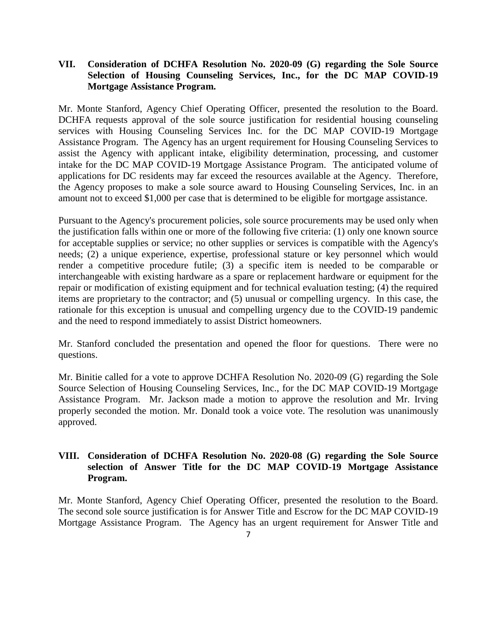#### **VII. Consideration of DCHFA Resolution No. 2020-09 (G) regarding the Sole Source Selection of Housing Counseling Services, Inc., for the DC MAP COVID-19 Mortgage Assistance Program.**

Mr. Monte Stanford, Agency Chief Operating Officer, presented the resolution to the Board. DCHFA requests approval of the sole source justification for residential housing counseling services with Housing Counseling Services Inc. for the DC MAP COVID-19 Mortgage Assistance Program. The Agency has an urgent requirement for Housing Counseling Services to assist the Agency with applicant intake, eligibility determination, processing, and customer intake for the DC MAP COVID-19 Mortgage Assistance Program. The anticipated volume of applications for DC residents may far exceed the resources available at the Agency. Therefore, the Agency proposes to make a sole source award to Housing Counseling Services, Inc. in an amount not to exceed \$1,000 per case that is determined to be eligible for mortgage assistance.

Pursuant to the Agency's procurement policies, sole source procurements may be used only when the justification falls within one or more of the following five criteria: (1) only one known source for acceptable supplies or service; no other supplies or services is compatible with the Agency's needs; (2) a unique experience, expertise, professional stature or key personnel which would render a competitive procedure futile; (3) a specific item is needed to be comparable or interchangeable with existing hardware as a spare or replacement hardware or equipment for the repair or modification of existing equipment and for technical evaluation testing; (4) the required items are proprietary to the contractor; and (5) unusual or compelling urgency. In this case, the rationale for this exception is unusual and compelling urgency due to the COVID-19 pandemic and the need to respond immediately to assist District homeowners.

Mr. Stanford concluded the presentation and opened the floor for questions. There were no questions.

Mr. Binitie called for a vote to approve DCHFA Resolution No. 2020-09 (G) regarding the Sole Source Selection of Housing Counseling Services, Inc., for the DC MAP COVID-19 Mortgage Assistance Program. Mr. Jackson made a motion to approve the resolution and Mr. Irving properly seconded the motion. Mr. Donald took a voice vote. The resolution was unanimously approved.

### **VIII. Consideration of DCHFA Resolution No. 2020-08 (G) regarding the Sole Source selection of Answer Title for the DC MAP COVID-19 Mortgage Assistance Program.**

Mr. Monte Stanford, Agency Chief Operating Officer, presented the resolution to the Board. The second sole source justification is for Answer Title and Escrow for the DC MAP COVID-19 Mortgage Assistance Program. The Agency has an urgent requirement for Answer Title and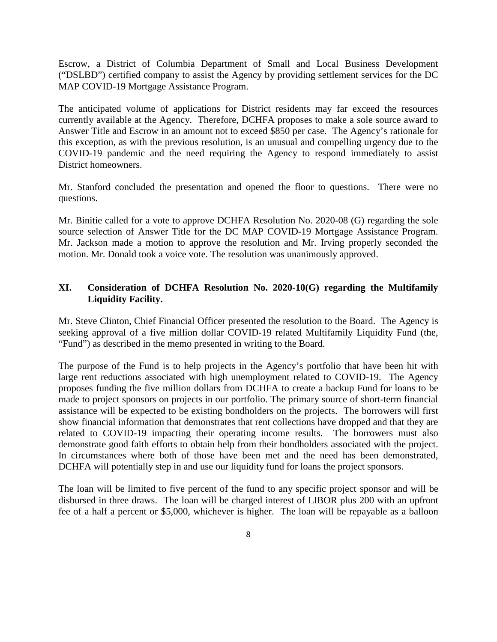Escrow, a District of Columbia Department of Small and Local Business Development ("DSLBD") certified company to assist the Agency by providing settlement services for the DC MAP COVID-19 Mortgage Assistance Program.

The anticipated volume of applications for District residents may far exceed the resources currently available at the Agency. Therefore, DCHFA proposes to make a sole source award to Answer Title and Escrow in an amount not to exceed \$850 per case. The Agency's rationale for this exception, as with the previous resolution, is an unusual and compelling urgency due to the COVID-19 pandemic and the need requiring the Agency to respond immediately to assist District homeowners.

Mr. Stanford concluded the presentation and opened the floor to questions. There were no questions.

Mr. Binitie called for a vote to approve DCHFA Resolution No. 2020-08 (G) regarding the sole source selection of Answer Title for the DC MAP COVID-19 Mortgage Assistance Program. Mr. Jackson made a motion to approve the resolution and Mr. Irving properly seconded the motion. Mr. Donald took a voice vote. The resolution was unanimously approved.

#### **XI. Consideration of DCHFA Resolution No. 2020-10(G) regarding the Multifamily Liquidity Facility.**

Mr. Steve Clinton, Chief Financial Officer presented the resolution to the Board. The Agency is seeking approval of a five million dollar COVID-19 related Multifamily Liquidity Fund (the, "Fund") as described in the memo presented in writing to the Board.

The purpose of the Fund is to help projects in the Agency's portfolio that have been hit with large rent reductions associated with high unemployment related to COVID-19. The Agency proposes funding the five million dollars from DCHFA to create a backup Fund for loans to be made to project sponsors on projects in our portfolio. The primary source of short-term financial assistance will be expected to be existing bondholders on the projects. The borrowers will first show financial information that demonstrates that rent collections have dropped and that they are related to COVID-19 impacting their operating income results. The borrowers must also demonstrate good faith efforts to obtain help from their bondholders associated with the project. In circumstances where both of those have been met and the need has been demonstrated, DCHFA will potentially step in and use our liquidity fund for loans the project sponsors.

The loan will be limited to five percent of the fund to any specific project sponsor and will be disbursed in three draws. The loan will be charged interest of LIBOR plus 200 with an upfront fee of a half a percent or \$5,000, whichever is higher. The loan will be repayable as a balloon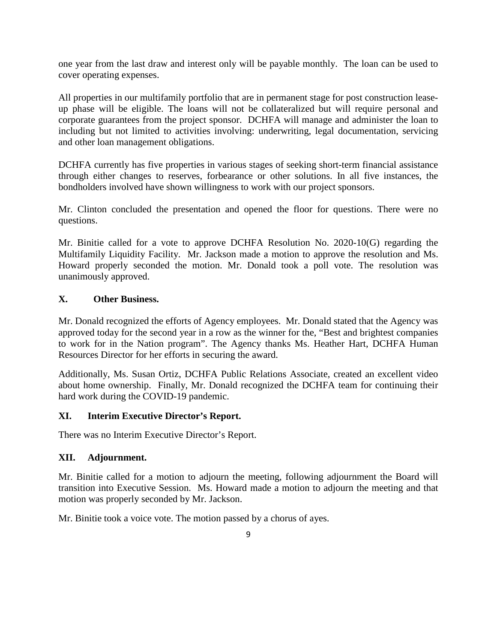one year from the last draw and interest only will be payable monthly. The loan can be used to cover operating expenses.

All properties in our multifamily portfolio that are in permanent stage for post construction leaseup phase will be eligible. The loans will not be collateralized but will require personal and corporate guarantees from the project sponsor. DCHFA will manage and administer the loan to including but not limited to activities involving: underwriting, legal documentation, servicing and other loan management obligations.

DCHFA currently has five properties in various stages of seeking short-term financial assistance through either changes to reserves, forbearance or other solutions. In all five instances, the bondholders involved have shown willingness to work with our project sponsors.

Mr. Clinton concluded the presentation and opened the floor for questions. There were no questions.

Mr. Binitie called for a vote to approve DCHFA Resolution No. 2020-10(G) regarding the Multifamily Liquidity Facility. Mr. Jackson made a motion to approve the resolution and Ms. Howard properly seconded the motion. Mr. Donald took a poll vote. The resolution was unanimously approved.

#### **X. Other Business.**

Mr. Donald recognized the efforts of Agency employees. Mr. Donald stated that the Agency was approved today for the second year in a row as the winner for the, "Best and brightest companies to work for in the Nation program". The Agency thanks Ms. Heather Hart, DCHFA Human Resources Director for her efforts in securing the award.

Additionally, Ms. Susan Ortiz, DCHFA Public Relations Associate, created an excellent video about home ownership. Finally, Mr. Donald recognized the DCHFA team for continuing their hard work during the COVID-19 pandemic.

#### **XI. Interim Executive Director's Report.**

There was no Interim Executive Director's Report.

## **XII. Adjournment.**

Mr. Binitie called for a motion to adjourn the meeting, following adjournment the Board will transition into Executive Session. Ms. Howard made a motion to adjourn the meeting and that motion was properly seconded by Mr. Jackson.

Mr. Binitie took a voice vote. The motion passed by a chorus of ayes.